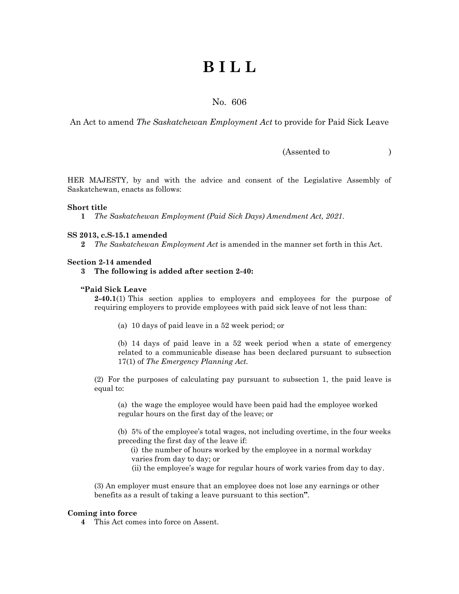# **B I L L**

### No. 606

An Act to amend *The Saskatchewan Employment Act* to provide for Paid Sick Leave

(Assented to )

HER MAJESTY, by and with the advice and consent of the Legislative Assembly of Saskatchewan, enacts as follows:

#### **Short title**

**1** *The Saskatchewan Employment (Paid Sick Days) Amendment Act, 2021.* 

#### **SS 2013, c.S-15.1 amended**

**2** *The Saskatchewan Employment Act* is amended in the manner set forth in this Act.

#### **Section 2-14 amended**

**3 The following is added after section 2-40:**

#### **"Paid Sick Leave**

**2-40.1**(1) This section applies to employers and employees for the purpose of requiring employers to provide employees with paid sick leave of not less than:

(a) 10 days of paid leave in a 52 week period; or

(b) 14 days of paid leave in a 52 week period when a state of emergency related to a communicable disease has been declared pursuant to subsection 17(1) of *The Emergency Planning Act.*

(2) For the purposes of calculating pay pursuant to subsection 1, the paid leave is equal to:

(a) the wage the employee would have been paid had the employee worked regular hours on the first day of the leave; or

(b) 5% of the employee's total wages, not including overtime, in the four weeks preceding the first day of the leave if:

- (i) the number of hours worked by the employee in a normal workday varies from day to day; or
- (ii) the employee's wage for regular hours of work varies from day to day.

(3) An employer must ensure that an employee does not lose any earnings or other benefits as a result of taking a leave pursuant to this section**"**.

#### **Coming into force**

**4** This Act comes into force on Assent.